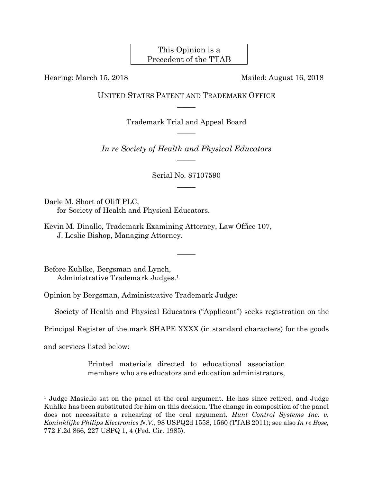This Opinion is a Precedent of the TTAB

Hearing: March 15, 2018Mailed: August 16, 2018

UNITED STATES PATENT AND TRADEMARK OFFICE  $\overline{\phantom{a}}$ 

> Trademark Trial and Appeal Board  $\overline{\phantom{a}}$

*In re Society of Health and Physical Educators*   $\overline{\phantom{a}}$ 

> Serial No. 87107590  $\overline{\phantom{a}}$

> > $\overline{\phantom{a}}$

Darle M. Short of Oliff PLC, for Society of Health and Physical Educators.

Kevin M. Dinallo, Trademark Examining Attorney, Law Office 107, J. Leslie Bishop, Managing Attorney.

Before Kuhlke, Bergsman and Lynch, Administrative Trademark Judges.1

Opinion by Bergsman, Administrative Trademark Judge:

Society of Health and Physical Educators ("Applicant") seeks registration on the

Principal Register of the mark SHAPE XXXX (in standard characters) for the goods

and services listed below:

 $\overline{a}$ 

Printed materials directed to educational association members who are educators and education administrators,

<sup>&</sup>lt;sup>1</sup> Judge Masiello sat on the panel at the oral argument. He has since retired, and Judge Kuhlke has been substituted for him on this decision. The change in composition of the panel does not necessitate a rehearing of the oral argument. *Hunt Control Systems Inc. v. Koninklijke Philips Electronics N.V.*, 98 USPQ2d 1558, 1560 (TTAB 2011); see also *In re Bose,* 772 F.2d 866, 227 USPQ 1, 4 (Fed. Cir. 1985).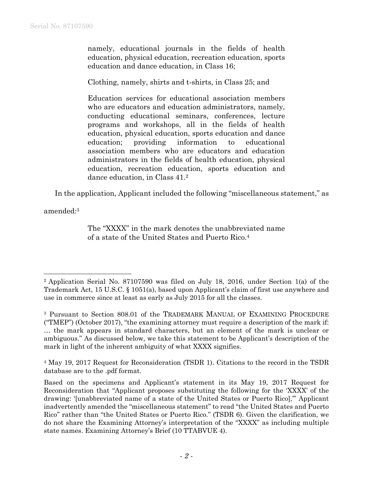namely, educational journals in the fields of health education, physical education, recreation education, sports education and dance education, in Class 16;

Clothing, namely, shirts and t-shirts, in Class 25; and

Education services for educational association members who are educators and education administrators, namely, conducting educational seminars, conferences, lecture programs and workshops, all in the fields of health education, physical education, sports education and dance education; providing information to educational association members who are educators and education administrators in the fields of health education, physical education, recreation education, sports education and dance education, in Class 41.2

In the application, Applicant included the following "miscellaneous statement," as

amended:3

 $\overline{a}$ 

The "XXXX" in the mark denotes the unabbreviated name of a state of the United States and Puerto Rico.4

4 May 19, 2017 Request for Reconsideration (TSDR 1). Citations to the record in the TSDR database are to the .pdf format.

<sup>2</sup> Application Serial No. 87107590 was filed on July 18, 2016, under Section 1(a) of the Trademark Act, 15 U.S.C. § 1051(a), based upon Applicant's claim of first use anywhere and use in commerce since at least as early as July 2015 for all the classes.

<sup>3</sup> Pursuant to Section 808.01 of the TRADEMARK MANUAL OF EXAMINING PROCEDURE ("TMEP") (October 2017), "the examining attorney must require a description of the mark if: … the mark appears in standard characters, but an element of the mark is unclear or ambiguous." As discussed below, we take this statement to be Applicant's description of the mark in light of the inherent ambiguity of what XXXX signifies.

Based on the specimens and Applicant's statement in its May 19, 2017 Request for Reconsideration that "Applicant proposes substituting the following for the 'XXXX' of the drawing: '[unabbreviated name of a state of the United States or Puerto Rico],'" Applicant inadvertently amended the "miscellaneous statement" to read "the United States and Puerto Rico" rather than "the United States or Puerto Rico." (TSDR 6). Given the clarification, we do not share the Examining Attorney's interpretation of the "XXXX" as including multiple state names. Examining Attorney's Brief (10 TTABVUE 4).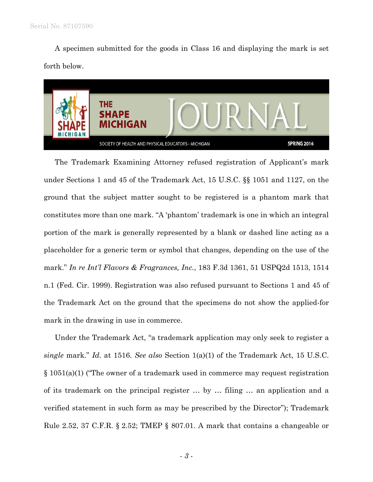A specimen submitted for the goods in Class 16 and displaying the mark is set forth below.



The Trademark Examining Attorney refused registration of Applicant's mark under Sections 1 and 45 of the Trademark Act, 15 U.S.C. §§ 1051 and 1127, on the ground that the subject matter sought to be registered is a phantom mark that constitutes more than one mark. "A 'phantom' trademark is one in which an integral portion of the mark is generally represented by a blank or dashed line acting as a placeholder for a generic term or symbol that changes, depending on the use of the mark." *In re Int'l Flavors & Fragrances, Inc.*, 183 F.3d 1361, 51 USPQ2d 1513, 1514 n.1 (Fed. Cir. 1999). Registration was also refused pursuant to Sections 1 and 45 of the Trademark Act on the ground that the specimens do not show the applied-for mark in the drawing in use in commerce.

Under the Trademark Act, "a trademark application may only seek to register a *single* mark." *Id.* at 1516. *See also* Section 1(a)(1) of the Trademark Act, 15 U.S.C. § 1051(a)(1) ("The owner of a trademark used in commerce may request registration of its trademark on the principal register … by … filing … an application and a verified statement in such form as may be prescribed by the Director"); Trademark Rule 2.52, 37 C.F.R. § 2.52; TMEP § 807.01. A mark that contains a changeable or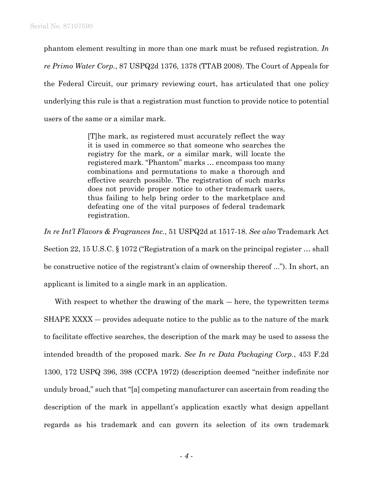phantom element resulting in more than one mark must be refused registration. *In re Primo Water Corp.*, 87 USPQ2d 1376, 1378 (TTAB 2008). The Court of Appeals for the Federal Circuit, our primary reviewing court, has articulated that one policy underlying this rule is that a registration must function to provide notice to potential users of the same or a similar mark.

> [T]he mark, as registered must accurately reflect the way it is used in commerce so that someone who searches the registry for the mark, or a similar mark, will locate the registered mark. "Phantom" marks … encompass too many combinations and permutations to make a thorough and effective search possible. The registration of such marks does not provide proper notice to other trademark users, thus failing to help bring order to the marketplace and defeating one of the vital purposes of federal trademark registration.

*In re Int'l Flavors & Fragrances Inc.*, 51 USPQ2d at 1517-18. *See also* Trademark Act Section 22, 15 U.S.C. § 1072 ("Registration of a mark on the principal register … shall be constructive notice of the registrant's claim of ownership thereof ..."). In short, an applicant is limited to a single mark in an application.

With respect to whether the drawing of the mark — here, the typewritten terms SHAPE XXXX ― provides adequate notice to the public as to the nature of the mark to facilitate effective searches, the description of the mark may be used to assess the intended breadth of the proposed mark. *See In re Data Packaging Corp.*, 453 F.2d 1300, 172 USPQ 396, 398 (CCPA 1972) (description deemed "neither indefinite nor unduly broad," such that "[a] competing manufacturer can ascertain from reading the description of the mark in appellant's application exactly what design appellant regards as his trademark and can govern its selection of its own trademark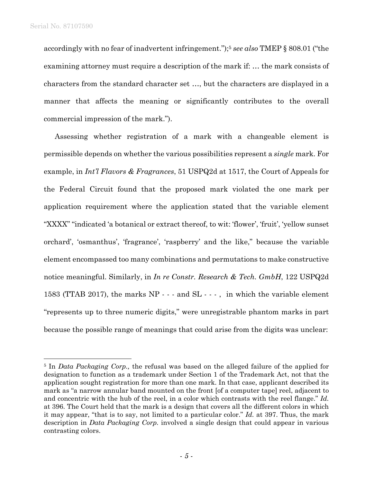1

accordingly with no fear of inadvertent infringement.");5 *see also* TMEP § 808.01 ("the examining attorney must require a description of the mark if: ... the mark consists of characters from the standard character set …, but the characters are displayed in a manner that affects the meaning or significantly contributes to the overall commercial impression of the mark.").

Assessing whether registration of a mark with a changeable element is permissible depends on whether the various possibilities represent a *single* mark. For example, in *Int'l Flavors & Fragrances*, 51 USPQ2d at 1517, the Court of Appeals for the Federal Circuit found that the proposed mark violated the one mark per application requirement where the application stated that the variable element "XXXX" "indicated 'a botanical or extract thereof, to wit: 'flower', 'fruit', 'yellow sunset orchard', 'osmanthus', 'fragrance', 'raspberry' and the like," because the variable element encompassed too many combinations and permutations to make constructive notice meaningful. Similarly, in *In re Constr. Research & Tech. GmbH*, 122 USPQ2d 1583 (TTAB 2017), the marks NP - - - and SL - - - , in which the variable element "represents up to three numeric digits," were unregistrable phantom marks in part because the possible range of meanings that could arise from the digits was unclear:

<sup>5</sup> In *Data Packaging Corp.,* the refusal was based on the alleged failure of the applied for designation to function as a trademark under Section 1 of the Trademark Act, not that the application sought registration for more than one mark. In that case, applicant described its mark as "a narrow annular band mounted on the front [of a computer tape] reel, adjacent to and concentric with the hub of the reel, in a color which contrasts with the reel flange." *Id.*  at 396. The Court held that the mark is a design that covers all the different colors in which it may appear, "that is to say, not limited to a particular color." *Id.* at 397. Thus, the mark description in *Data Packaging Corp.* involved a single design that could appear in various contrasting colors.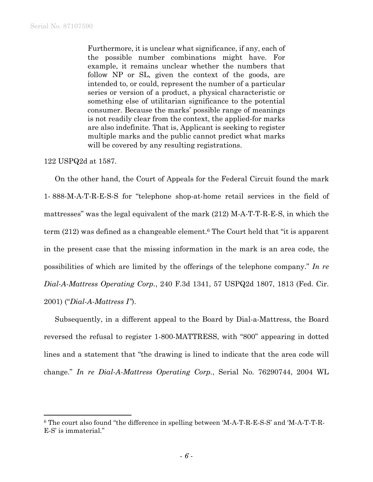Furthermore, it is unclear what significance, if any, each of the possible number combinations might have. For example, it remains unclear whether the numbers that follow NP or SL, given the context of the goods, are intended to, or could, represent the number of a particular series or version of a product, a physical characteristic or something else of utilitarian significance to the potential consumer. Because the marks' possible range of meanings is not readily clear from the context, the applied-for marks are also indefinite. That is, Applicant is seeking to register multiple marks and the public cannot predict what marks will be covered by any resulting registrations.

122 USPQ2d at 1587.

 $\overline{a}$ 

On the other hand, the Court of Appeals for the Federal Circuit found the mark 1- 888-M-A-T-R-E-S-S for "telephone shop-at-home retail services in the field of mattresses" was the legal equivalent of the mark (212) M-A-T-T-R-E-S, in which the term (212) was defined as a changeable element.6 The Court held that "it is apparent in the present case that the missing information in the mark is an area code, the possibilities of which are limited by the offerings of the telephone company." *In re Dial-A-Mattress Operating Corp.*, 240 F.3d 1341, 57 USPQ2d 1807, 1813 (Fed. Cir. 2001) ("*Dial-A-Mattress I"*).

Subsequently, in a different appeal to the Board by Dial-a-Mattress, the Board reversed the refusal to register 1-800-MATTRESS, with "800" appearing in dotted lines and a statement that "the drawing is lined to indicate that the area code will change." *In re Dial-A-Mattress Operating Corp.*, Serial No. 76290744, 2004 WL

<sup>6</sup> The court also found "the difference in spelling between 'M-A-T-R-E-S-S' and 'M-A-T-T-R-E-S' is immaterial."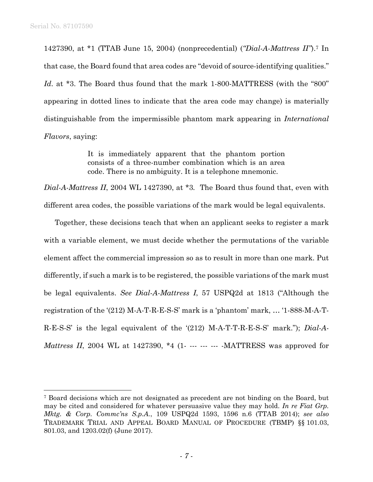1

1427390, at \*1 (TTAB June 15, 2004) (nonprecedential) (*"Dial-A-Mattress II"*).7 In that case, the Board found that area codes are "devoid of source-identifying qualities." *Id.* at \*3. The Board thus found that the mark 1-800-MATTRESS (with the "800" appearing in dotted lines to indicate that the area code may change) is materially distinguishable from the impermissible phantom mark appearing in *International Flavors*, saying:

> It is immediately apparent that the phantom portion consists of a three-number combination which is an area code. There is no ambiguity. It is a telephone mnemonic.

*Dial-A-Mattress II*, 2004 WL 1427390, at \*3*.* The Board thus found that, even with different area codes, the possible variations of the mark would be legal equivalents.

Together, these decisions teach that when an applicant seeks to register a mark with a variable element, we must decide whether the permutations of the variable element affect the commercial impression so as to result in more than one mark. Put differently, if such a mark is to be registered, the possible variations of the mark must be legal equivalents. *See Dial-A-Mattress I*, 57 USPQ2d at 1813 ("Although the registration of the '(212) M-A-T-R-E-S-S' mark is a 'phantom' mark, … '1-888-M-A-T-R-E-S-S' is the legal equivalent of the '(212) M-A-T-T-R-E-S-S' mark."); *Dial-A-Mattress II*, 2004 WL at 1427390, \*4 (1- --- --- -- -- MATTRESS was approved for

<sup>7</sup> Board decisions which are not designated as precedent are not binding on the Board, but may be cited and considered for whatever persuasive value they may hold. *In re Fiat Grp. Mktg. & Corp. Commc'ns S.p.A.*, 109 USPQ2d 1593, 1596 n.6 (TTAB 2014); *see also* TRADEMARK TRIAL AND APPEAL BOARD MANUAL OF PROCEDURE (TBMP) §§ 101.03, 801.03, and 1203.02(f) (June 2017).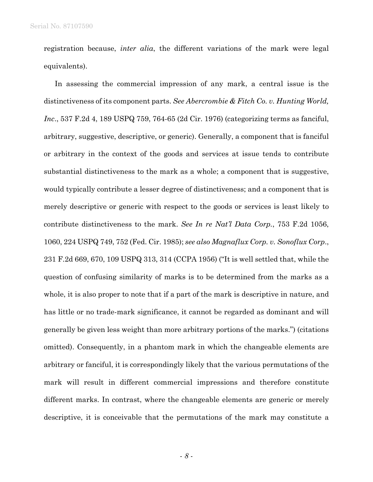registration because, *inter alia*, the different variations of the mark were legal equivalents).

In assessing the commercial impression of any mark, a central issue is the distinctiveness of its component parts. *See Abercrombie & Fitch Co. v. Hunting World, Inc*., 537 F.2d 4, 189 USPQ 759, 764-65 (2d Cir. 1976) (categorizing terms as fanciful, arbitrary, suggestive, descriptive, or generic). Generally, a component that is fanciful or arbitrary in the context of the goods and services at issue tends to contribute substantial distinctiveness to the mark as a whole; a component that is suggestive, would typically contribute a lesser degree of distinctiveness; and a component that is merely descriptive or generic with respect to the goods or services is least likely to contribute distinctiveness to the mark. *See In re Nat'l Data Corp.*, 753 F.2d 1056, 1060, 224 USPQ 749, 752 (Fed. Cir. 1985); *see also Magnaflux Corp. v. Sonoflux Corp*., 231 F.2d 669, 670, 109 USPQ 313, 314 (CCPA 1956) ("It is well settled that, while the question of confusing similarity of marks is to be determined from the marks as a whole, it is also proper to note that if a part of the mark is descriptive in nature, and has little or no trade-mark significance, it cannot be regarded as dominant and will generally be given less weight than more arbitrary portions of the marks.") (citations omitted). Consequently, in a phantom mark in which the changeable elements are arbitrary or fanciful, it is correspondingly likely that the various permutations of the mark will result in different commercial impressions and therefore constitute different marks. In contrast, where the changeable elements are generic or merely descriptive, it is conceivable that the permutations of the mark may constitute a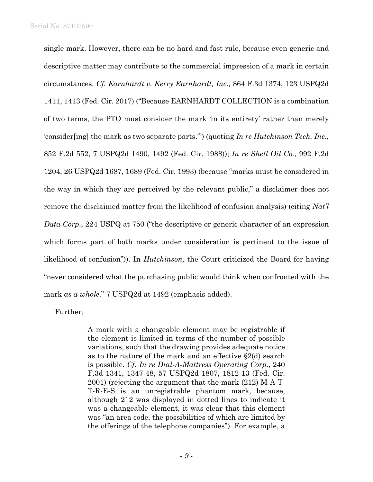single mark. However, there can be no hard and fast rule, because even generic and descriptive matter may contribute to the commercial impression of a mark in certain circumstances. *Cf. Earnhardt v. Kerry Earnhardt, Inc.,* 864 F.3d 1374, 123 USPQ2d 1411, 1413 (Fed. Cir. 2017) ("Because EARNHARDT COLLECTION is a combination of two terms, the PTO must consider the mark 'in its entirety' rather than merely 'consider[ing] the mark as two separate parts.'") (quoting *In re Hutchinson Tech. Inc.*, 852 F.2d 552, 7 USPQ2d 1490, 1492 (Fed. Cir. 1988)); *In re Shell Oil Co.*, 992 F.2d 1204, 26 USPQ2d 1687, 1689 (Fed. Cir. 1993) (because "marks must be considered in the way in which they are perceived by the relevant public," a disclaimer does not remove the disclaimed matter from the likelihood of confusion analysis) (citing *Nat'l Data Corp*., 224 USPQ at 750 ("the descriptive or generic character of an expression which forms part of both marks under consideration is pertinent to the issue of likelihood of confusion")). In *Hutchinson,* the Court criticized the Board for having "never considered what the purchasing public would think when confronted with the mark *as a whole*." 7 USPQ2d at 1492 (emphasis added).

Further,

A mark with a changeable element may be registrable if the element is limited in terms of the number of possible variations, such that the drawing provides adequate notice as to the nature of the mark and an effective §2(d) search is possible. *Cf. In re Dial-A-Mattress Operating Corp.*, 240 F.3d 1341, 1347-48, 57 USPQ2d 1807, 1812-13 (Fed. Cir. 2001) (rejecting the argument that the mark (212) M-A-T-T-R-E-S is an unregistrable phantom mark, because, although 212 was displayed in dotted lines to indicate it was a changeable element, it was clear that this element was "an area code, the possibilities of which are limited by the offerings of the telephone companies"). For example, a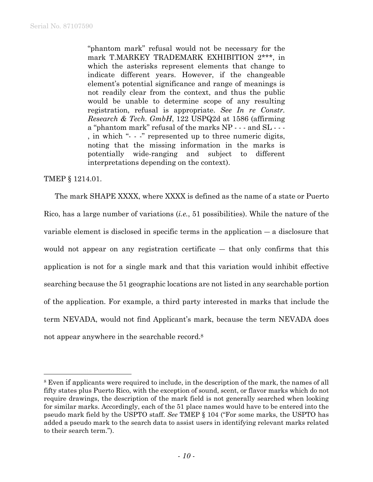"phantom mark" refusal would not be necessary for the mark T.MARKEY TRADEMARK EXHIBITION 2\*\*\*, in which the asterisks represent elements that change to indicate different years. However, if the changeable element's potential significance and range of meanings is not readily clear from the context, and thus the public would be unable to determine scope of any resulting registration, refusal is appropriate. *See In re Constr. Research & Tech. GmbH*, 122 USPQ2d at 1586 (affirming a "phantom mark" refusal of the marks NP - - - and SL - - - , in which "- - -" represented up to three numeric digits, noting that the missing information in the marks is potentially wide-ranging and subject to different interpretations depending on the context).

## TMEP § 1214.01.

l

The mark SHAPE XXXX, where XXXX is defined as the name of a state or Puerto Rico, has a large number of variations (*i.e.*, 51 possibilities). While the nature of the variable element is disclosed in specific terms in the application ― a disclosure that would not appear on any registration certificate  $-$  that only confirms that this application is not for a single mark and that this variation would inhibit effective searching because the 51 geographic locations are not listed in any searchable portion of the application. For example, a third party interested in marks that include the term NEVADA, would not find Applicant's mark, because the term NEVADA does not appear anywhere in the searchable record.8

<sup>8</sup> Even if applicants were required to include, in the description of the mark, the names of all fifty states plus Puerto Rico, with the exception of sound, scent, or flavor marks which do not require drawings, the description of the mark field is not generally searched when looking for similar marks. Accordingly, each of the 51 place names would have to be entered into the pseudo mark field by the USPTO staff. *See* TMEP § 104 ("For some marks, the USPTO has added a pseudo mark to the search data to assist users in identifying relevant marks related to their search term.").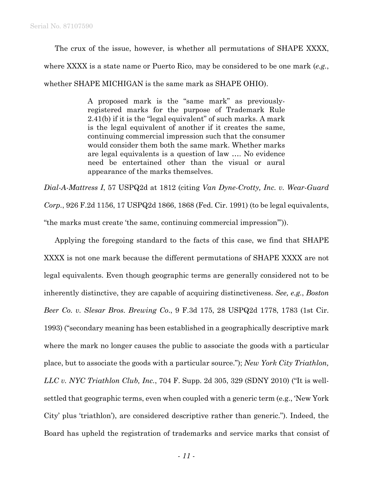The crux of the issue, however, is whether all permutations of SHAPE XXXX,

where XXXX is a state name or Puerto Rico, may be considered to be one mark (*e.g.*,

whether SHAPE MICHIGAN is the same mark as SHAPE OHIO).

A proposed mark is the "same mark" as previouslyregistered marks for the purpose of Trademark Rule 2.41(b) if it is the "legal equivalent" of such marks. A mark is the legal equivalent of another if it creates the same, continuing commercial impression such that the consumer would consider them both the same mark. Whether marks are legal equivalents is a question of law …. No evidence need be entertained other than the visual or aural appearance of the marks themselves.

*Dial-A-Mattress I*, 57 USPQ2d at 1812 (citing *Van Dyne-Crotty, Inc. v. Wear-Guard Corp.*, 926 F.2d 1156, 17 USPQ2d 1866, 1868 (Fed. Cir. 1991) (to be legal equivalents, "the marks must create 'the same, continuing commercial impression'")).

Applying the foregoing standard to the facts of this case, we find that SHAPE XXXX is not one mark because the different permutations of SHAPE XXXX are not legal equivalents. Even though geographic terms are generally considered not to be inherently distinctive, they are capable of acquiring distinctiveness. *See, e.g.*, *Boston Beer Co. v. Slesar Bros. Brewing Co*., 9 F.3d 175, 28 USPQ2d 1778, 1783 (1st Cir. 1993) ("secondary meaning has been established in a geographically descriptive mark where the mark no longer causes the public to associate the goods with a particular place, but to associate the goods with a particular source."); *New York City Triathlon, LLC v. NYC Triathlon Club, Inc.*, 704 F. Supp. 2d 305, 329 (SDNY 2010) ("It is wellsettled that geographic terms, even when coupled with a generic term (e.g., 'New York City' plus 'triathlon'), are considered descriptive rather than generic."). Indeed, the Board has upheld the registration of trademarks and service marks that consist of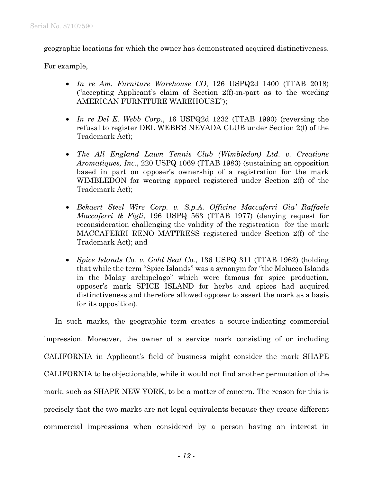geographic locations for which the owner has demonstrated acquired distinctiveness.

For example,

- *In re Am. Furniture Warehouse CO*, 126 USPQ2d 1400 (TTAB 2018) ("accepting Applicant's claim of Section 2(f)-in-part as to the wording AMERICAN FURNITURE WAREHOUSE");
- *In re Del E. Webb Corp.*, 16 USPQ2d 1232 (TTAB 1990) (reversing the refusal to register DEL WEBB'S NEVADA CLUB under Section 2(f) of the Trademark Act);
- *The All England Lawn Tennis Club (Wimbledon) Ltd. v. Creations Aromatiques, Inc.*, 220 USPQ 1069 (TTAB 1983) (sustaining an opposition based in part on opposer's ownership of a registration for the mark WIMBLEDON for wearing apparel registered under Section 2(f) of the Trademark Act);
- *Bekaert Steel Wire Corp. v. S.p.A. Officine Maccaferri Gia' Raffaele Maccaferri & Figli*, 196 USPQ 563 (TTAB 1977) (denying request for reconsideration challenging the validity of the registration for the mark MACCAFERRI RENO MATTRESS registered under Section 2(f) of the Trademark Act); and
- *Spice Islands Co. v. Gold Seal Co.*, 136 USPQ 311 (TTAB 1962) (holding that while the term "Spice Islands" was a synonym for "the Molucca Islands in the Malay archipelago" which were famous for spice production, opposer's mark SPICE ISLAND for herbs and spices had acquired distinctiveness and therefore allowed opposer to assert the mark as a basis for its opposition).

In such marks, the geographic term creates a source-indicating commercial impression. Moreover, the owner of a service mark consisting of or including CALIFORNIA in Applicant's field of business might consider the mark SHAPE CALIFORNIA to be objectionable, while it would not find another permutation of the mark, such as SHAPE NEW YORK, to be a matter of concern. The reason for this is precisely that the two marks are not legal equivalents because they create different commercial impressions when considered by a person having an interest in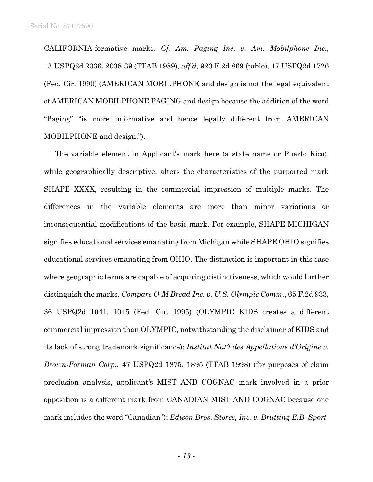CALIFORNIA-formative marks. *Cf. Am. Paging Inc. v. Am. Mobilphone Inc.*, 13 USPQ2d 2036, 2038-39 (TTAB 1989), *aff'd*, 923 F.2d 869 (table), 17 USPQ2d 1726 (Fed. Cir. 1990) (AMERICAN MOBILPHONE and design is not the legal equivalent of AMERICAN MOBILPHONE PAGING and design because the addition of the word "Paging" "is more informative and hence legally different from AMERICAN MOBILPHONE and design.").

The variable element in Applicant's mark here (a state name or Puerto Rico), while geographically descriptive, alters the characteristics of the purported mark SHAPE XXXX, resulting in the commercial impression of multiple marks. The differences in the variable elements are more than minor variations or inconsequential modifications of the basic mark. For example, SHAPE MICHIGAN signifies educational services emanating from Michigan while SHAPE OHIO signifies educational services emanating from OHIO. The distinction is important in this case where geographic terms are capable of acquiring distinctiveness, which would further distinguish the marks. *Compare O-M Bread Inc. v. U.S. Olympic Comm.*, 65 F.2d 933, 36 USPQ2d 1041, 1045 (Fed. Cir. 1995) (OLYMPIC KIDS creates a different commercial impression than OLYMPIC, notwithstanding the disclaimer of KIDS and its lack of strong trademark significance); *Institut Nat'l des Appellations d'Origine v. Brown-Forman Corp.*, 47 USPQ2d 1875, 1895 (TTAB 1998) (for purposes of claim preclusion analysis, applicant's MIST AND COGNAC mark involved in a prior opposition is a different mark from CANADIAN MIST AND COGNAC because one mark includes the word "Canadian"); *Edison Bros. Stores, Inc. v. Brutting E.B. Sport-*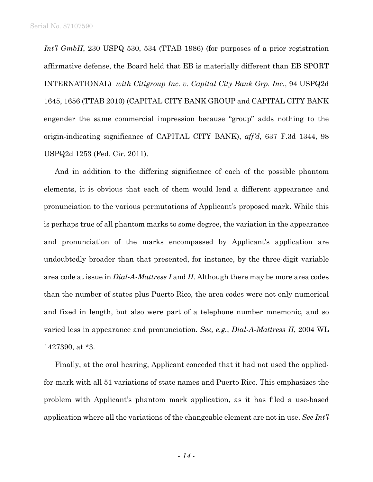*Int'l GmbH*, 230 USPQ 530, 534 (TTAB 1986) (for purposes of a prior registration affirmative defense, the Board held that EB is materially different than EB SPORT INTERNATIONAL) *with Citigroup Inc. v. Capital City Bank Grp. Inc.*, 94 USPQ2d 1645, 1656 (TTAB 2010) (CAPITAL CITY BANK GROUP and CAPITAL CITY BANK engender the same commercial impression because "group" adds nothing to the origin-indicating significance of CAPITAL CITY BANK), *aff'd*, 637 F.3d 1344, 98 USPQ2d 1253 (Fed. Cir. 2011).

And in addition to the differing significance of each of the possible phantom elements, it is obvious that each of them would lend a different appearance and pronunciation to the various permutations of Applicant's proposed mark. While this is perhaps true of all phantom marks to some degree, the variation in the appearance and pronunciation of the marks encompassed by Applicant's application are undoubtedly broader than that presented, for instance, by the three-digit variable area code at issue in *Dial-A-Mattress I* and *II*. Although there may be more area codes than the number of states plus Puerto Rico, the area codes were not only numerical and fixed in length, but also were part of a telephone number mnemonic, and so varied less in appearance and pronunciation. *See, e.g.*, *Dial-A-Mattress II*, 2004 WL 1427390, at \*3.

Finally, at the oral hearing, Applicant conceded that it had not used the appliedfor-mark with all 51 variations of state names and Puerto Rico. This emphasizes the problem with Applicant's phantom mark application, as it has filed a use-based application where all the variations of the changeable element are not in use. *See Int'l*